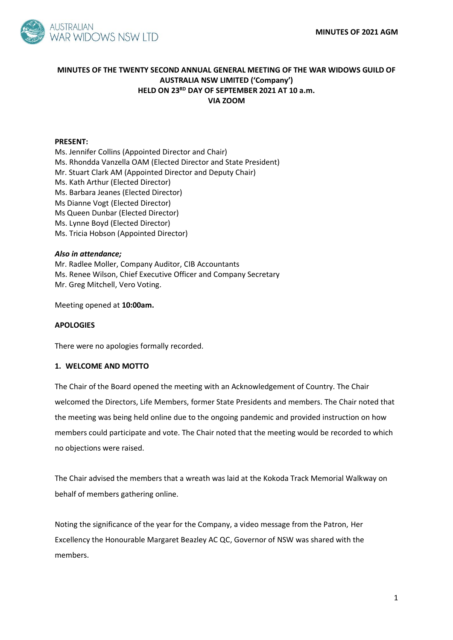

# **MINUTES OF THE TWENTY SECOND ANNUAL GENERAL MEETING OF THE WAR WIDOWS GUILD OF AUSTRALIA NSW LIMITED ('Company') HELD ON 23RD DAY OF SEPTEMBER 2021 AT 10 a.m. VIA ZOOM**

### **PRESENT:**

Ms. Jennifer Collins (Appointed Director and Chair) Ms. Rhondda Vanzella OAM (Elected Director and State President) Mr. Stuart Clark AM (Appointed Director and Deputy Chair) Ms. Kath Arthur (Elected Director) Ms. Barbara Jeanes (Elected Director) Ms Dianne Vogt (Elected Director) Ms Queen Dunbar (Elected Director) Ms. Lynne Boyd (Elected Director) Ms. Tricia Hobson (Appointed Director)

### *Also in attendance;*

Mr. Radlee Moller, Company Auditor, CIB Accountants Ms. Renee Wilson, Chief Executive Officer and Company Secretary Mr. Greg Mitchell, Vero Voting.

Meeting opened at **10:00am.**

### **APOLOGIES**

There were no apologies formally recorded.

### **1. WELCOME AND MOTTO**

The Chair of the Board opened the meeting with an Acknowledgement of Country. The Chair welcomed the Directors, Life Members, former State Presidents and members. The Chair noted that the meeting was being held online due to the ongoing pandemic and provided instruction on how members could participate and vote. The Chair noted that the meeting would be recorded to which no objections were raised.

The Chair advised the members that a wreath was laid at the Kokoda Track Memorial Walkway on behalf of members gathering online.

Noting the significance of the year for the Company, a video message from the Patron, Her Excellency the Honourable Margaret Beazley AC QC, Governor of NSW was shared with the members.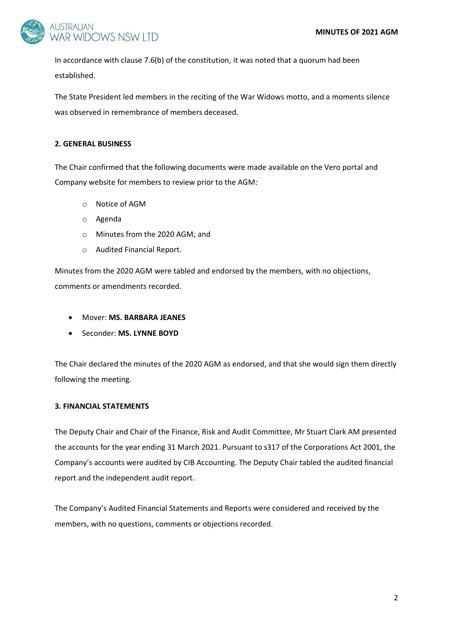

In accordance with clause 7.6(b) of the constitution, it was noted that a quorum had been established.

The State President led members in the reciting of the War Widows motto, and a moments silence was observed in remembrance of members deceased.

# **2. GENERAL BUSINESS**

The Chair confirmed that the following documents were made available on the Vero portal and Company website for members to review prior to the AGM:

- o Notice of AGM
- o Agenda
- o Minutes from the 2020 AGM; and
- o Audited Financial Report.

Minutes from the 2020 AGM were tabled and endorsed by the members, with no objections, comments or amendments recorded.

- Mover: **MS. BARBARA JEANES**
- Seconder: **MS. LYNNE BOYD**

The Chair declared the minutes of the 2020 AGM as endorsed, and that she would sign them directly following the meeting.

# **3. FINANCIAL STATEMENTS**

The Deputy Chair and Chair of the Finance, Risk and Audit Committee, Mr Stuart Clark AM presented the accounts for the year ending 31 March 2021. Pursuant to s317 of the Corporations Act 2001, the Company's accounts were audited by CIB Accounting. The Deputy Chair tabled the audited financial report and the independent audit report.

The Company's Audited Financial Statements and Reports were considered and received by the members, with no questions, comments or objections recorded.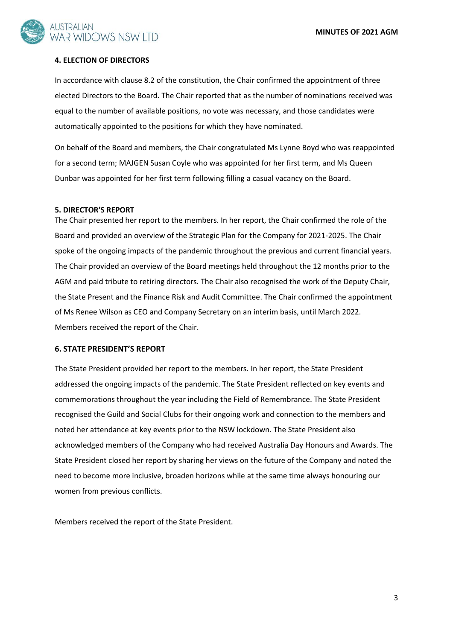

### **4. ELECTION OF DIRECTORS**

In accordance with clause 8.2 of the constitution, the Chair confirmed the appointment of three elected Directors to the Board. The Chair reported that as the number of nominations received was equal to the number of available positions, no vote was necessary, and those candidates were automatically appointed to the positions for which they have nominated.

On behalf of the Board and members, the Chair congratulated Ms Lynne Boyd who was reappointed for a second term; MAJGEN Susan Coyle who was appointed for her first term, and Ms Queen Dunbar was appointed for her first term following filling a casual vacancy on the Board.

#### **5. DIRECTOR'S REPORT**

The Chair presented her report to the members. In her report, the Chair confirmed the role of the Board and provided an overview of the Strategic Plan for the Company for 2021-2025. The Chair spoke of the ongoing impacts of the pandemic throughout the previous and current financial years. The Chair provided an overview of the Board meetings held throughout the 12 months prior to the AGM and paid tribute to retiring directors. The Chair also recognised the work of the Deputy Chair, the State Present and the Finance Risk and Audit Committee. The Chair confirmed the appointment of Ms Renee Wilson as CEO and Company Secretary on an interim basis, until March 2022. Members received the report of the Chair.

## **6. STATE PRESIDENT'S REPORT**

The State President provided her report to the members. In her report, the State President addressed the ongoing impacts of the pandemic. The State President reflected on key events and commemorations throughout the year including the Field of Remembrance. The State President recognised the Guild and Social Clubs for their ongoing work and connection to the members and noted her attendance at key events prior to the NSW lockdown. The State President also acknowledged members of the Company who had received Australia Day Honours and Awards. The State President closed her report by sharing her views on the future of the Company and noted the need to become more inclusive, broaden horizons while at the same time always honouring our women from previous conflicts.

Members received the report of the State President.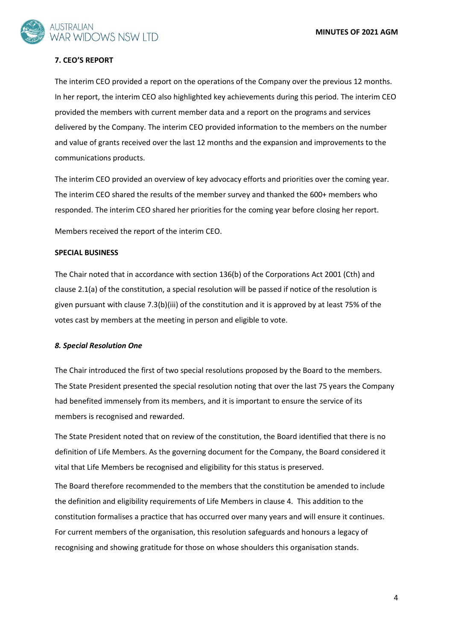**MINUTES OF 2021 AGM**



## **7. CEO'S REPORT**

The interim CEO provided a report on the operations of the Company over the previous 12 months. In her report, the interim CEO also highlighted key achievements during this period. The interim CEO provided the members with current member data and a report on the programs and services delivered by the Company. The interim CEO provided information to the members on the number and value of grants received over the last 12 months and the expansion and improvements to the communications products.

The interim CEO provided an overview of key advocacy efforts and priorities over the coming year. The interim CEO shared the results of the member survey and thanked the 600+ members who responded. The interim CEO shared her priorities for the coming year before closing her report.

Members received the report of the interim CEO.

### **SPECIAL BUSINESS**

The Chair noted that in accordance with section 136(b) of the Corporations Act 2001 (Cth) and clause 2.1(a) of the constitution, a special resolution will be passed if notice of the resolution is given pursuant with clause 7.3(b)(iii) of the constitution and it is approved by at least 75% of the votes cast by members at the meeting in person and eligible to vote.

### *8. Special Resolution One*

The Chair introduced the first of two special resolutions proposed by the Board to the members. The State President presented the special resolution noting that over the last 75 years the Company had benefited immensely from its members, and it is important to ensure the service of its members is recognised and rewarded.

The State President noted that on review of the constitution, the Board identified that there is no definition of Life Members. As the governing document for the Company, the Board considered it vital that Life Members be recognised and eligibility for this status is preserved.

The Board therefore recommended to the members that the constitution be amended to include the definition and eligibility requirements of Life Members in clause 4. This addition to the constitution formalises a practice that has occurred over many years and will ensure it continues. For current members of the organisation, this resolution safeguards and honours a legacy of recognising and showing gratitude for those on whose shoulders this organisation stands.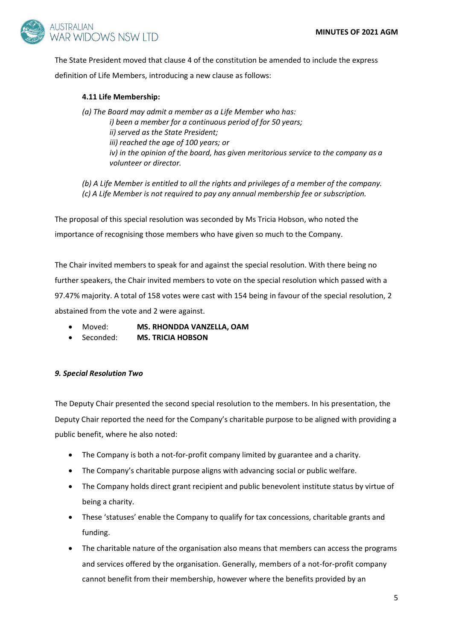

The State President moved that clause 4 of the constitution be amended to include the express definition of Life Members, introducing a new clause as follows:

# **4.11 Life Membership:**

*(a) The Board may admit a member as a Life Member who has: i) been a member for a continuous period of for 50 years; ii) served as the State President; iii) reached the age of 100 years; or iv) in the opinion of the board, has given meritorious service to the company as a volunteer or director.* 

*(b) A Life Member is entitled to all the rights and privileges of a member of the company. (c) A Life Member is not required to pay any annual membership fee or subscription.* 

The proposal of this special resolution was seconded by Ms Tricia Hobson, who noted the importance of recognising those members who have given so much to the Company.

The Chair invited members to speak for and against the special resolution. With there being no further speakers, the Chair invited members to vote on the special resolution which passed with a 97.47% majority. A total of 158 votes were cast with 154 being in favour of the special resolution, 2 abstained from the vote and 2 were against.

- Moved: **MS. RHONDDA VANZELLA, OAM**
- Seconded: **MS. TRICIA HOBSON**

## *9. Special Resolution Two*

The Deputy Chair presented the second special resolution to the members. In his presentation, the Deputy Chair reported the need for the Company's charitable purpose to be aligned with providing a public benefit, where he also noted:

- The Company is both a not-for-profit company limited by guarantee and a charity.
- The Company's charitable purpose aligns with advancing social or public welfare.
- The Company holds direct grant recipient and public benevolent institute status by virtue of being a charity.
- These 'statuses' enable the Company to qualify for tax concessions, charitable grants and funding.
- The charitable nature of the organisation also means that members can access the programs and services offered by the organisation. Generally, members of a not-for-profit company cannot benefit from their membership, however where the benefits provided by an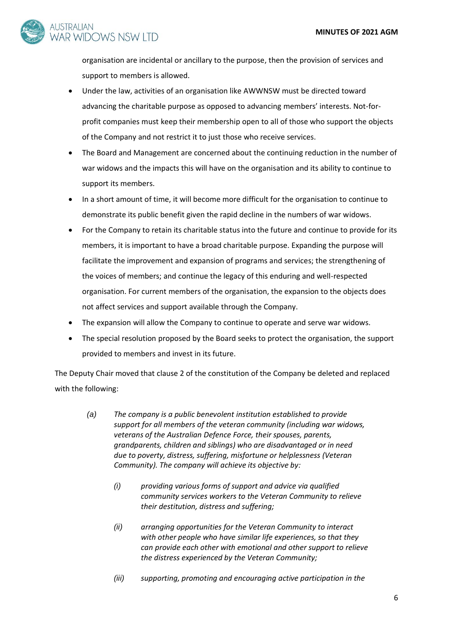

organisation are incidental or ancillary to the purpose, then the provision of services and support to members is allowed.

- Under the law, activities of an organisation like AWWNSW must be directed toward advancing the charitable purpose as opposed to advancing members' interests. Not-forprofit companies must keep their membership open to all of those who support the objects of the Company and not restrict it to just those who receive services.
- The Board and Management are concerned about the continuing reduction in the number of war widows and the impacts this will have on the organisation and its ability to continue to support its members.
- In a short amount of time, it will become more difficult for the organisation to continue to demonstrate its public benefit given the rapid decline in the numbers of war widows.
- For the Company to retain its charitable status into the future and continue to provide for its members, it is important to have a broad charitable purpose. Expanding the purpose will facilitate the improvement and expansion of programs and services; the strengthening of the voices of members; and continue the legacy of this enduring and well-respected organisation. For current members of the organisation, the expansion to the objects does not affect services and support available through the Company.
- The expansion will allow the Company to continue to operate and serve war widows.
- The special resolution proposed by the Board seeks to protect the organisation, the support provided to members and invest in its future.

The Deputy Chair moved that clause 2 of the constitution of the Company be deleted and replaced with the following:

- *(a) The company is a public benevolent institution established to provide support for all members of the veteran community (including war widows, veterans of the Australian Defence Force, their spouses, parents, grandparents, children and siblings) who are disadvantaged or in need due to poverty, distress, suffering, misfortune or helplessness (Veteran Community). The company will achieve its objective by:*
	- *(i) providing various forms of support and advice via qualified community services workers to the Veteran Community to relieve their destitution, distress and suffering;*
	- *(ii) arranging opportunities for the Veteran Community to interact with other people who have similar life experiences, so that they can provide each other with emotional and other support to relieve the distress experienced by the Veteran Community;*
	- *(iii) supporting, promoting and encouraging active participation in the*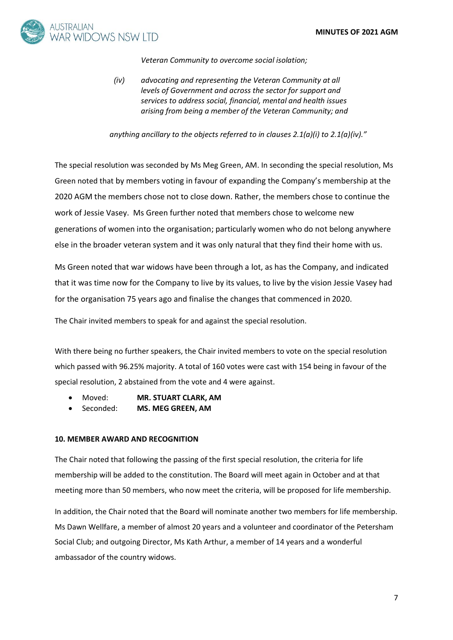

*Veteran Community to overcome social isolation;*

*(iv) advocating and representing the Veteran Community at all levels of Government and across the sector for support and services to address social, financial, mental and health issues arising from being a member of the Veteran Community; and*

*anything ancillary to the objects referred to in clauses 2.1(a)(i) to 2.1(a)(iv)."*

The special resolution was seconded by Ms Meg Green, AM. In seconding the special resolution, Ms Green noted that by members voting in favour of expanding the Company's membership at the 2020 AGM the members chose not to close down. Rather, the members chose to continue the work of Jessie Vasey. Ms Green further noted that members chose to welcome new generations of women into the organisation; particularly women who do not belong anywhere else in the broader veteran system and it was only natural that they find their home with us.

Ms Green noted that war widows have been through a lot, as has the Company, and indicated that it was time now for the Company to live by its values, to live by the vision Jessie Vasey had for the organisation 75 years ago and finalise the changes that commenced in 2020.

The Chair invited members to speak for and against the special resolution.

With there being no further speakers, the Chair invited members to vote on the special resolution which passed with 96.25% majority. A total of 160 votes were cast with 154 being in favour of the special resolution, 2 abstained from the vote and 4 were against.

- Moved: **MR. STUART CLARK, AM**
- Seconded: **MS. MEG GREEN, AM**

## **10. MEMBER AWARD AND RECOGNITION**

The Chair noted that following the passing of the first special resolution, the criteria for life membership will be added to the constitution. The Board will meet again in October and at that meeting more than 50 members, who now meet the criteria, will be proposed for life membership.

In addition, the Chair noted that the Board will nominate another two members for life membership. Ms Dawn Wellfare, a member of almost 20 years and a volunteer and coordinator of the Petersham Social Club; and outgoing Director, Ms Kath Arthur, a member of 14 years and a wonderful ambassador of the country widows.